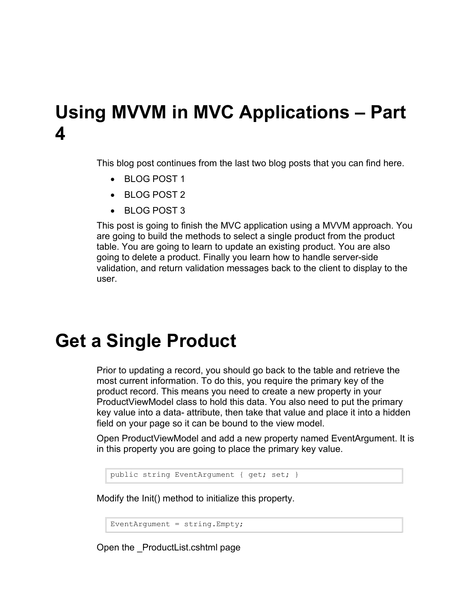## **Using MVVM in MVC Applications – Part 4**

This blog post continues from the last two blog posts that you can find here.

- BLOG POST 1
- BLOG POST 2
- BLOG POST 3

This post is going to finish the MVC application using a MVVM approach. You are going to build the methods to select a single product from the product table. You are going to learn to update an existing product. You are also going to delete a product. Finally you learn how to handle server-side validation, and return validation messages back to the client to display to the user.

#### **Get a Single Product**

Prior to updating a record, you should go back to the table and retrieve the most current information. To do this, you require the primary key of the product record. This means you need to create a new property in your ProductViewModel class to hold this data. You also need to put the primary key value into a data- attribute, then take that value and place it into a hidden field on your page so it can be bound to the view model.

Open ProductViewModel and add a new property named EventArgument. It is in this property you are going to place the primary key value.

public string EventArgument { get; set; }

Modify the Init() method to initialize this property.

EventArgument = string. Empty;

Open the \_ProductList.cshtml page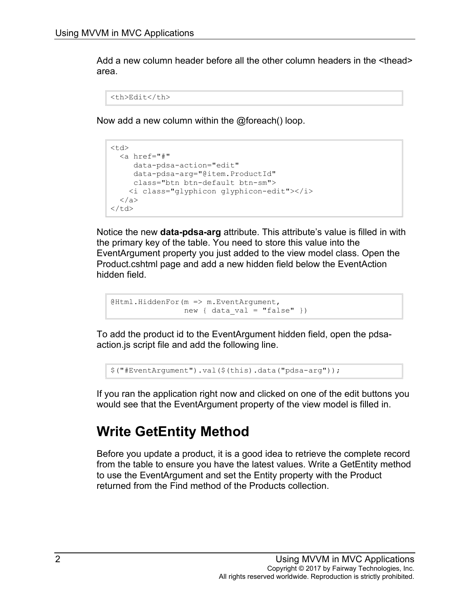Add a new column header before all the other column headers in the <thead> area.

```
<th>Edit</th>
```
Now add a new column within the @foreach() loop.

```
<td>
   <a href="#" 
      data-pdsa-action="edit"
      data-pdsa-arg="@item.ProductId"
     class="btn btn-default btn-sm">
     <i class="glyphicon glyphicon-edit"></i>
  \langlea>
\langle t \rangle
```
Notice the new **data-pdsa-arg** attribute. This attribute's value is filled in with the primary key of the table. You need to store this value into the EventArgument property you just added to the view model class. Open the Product.cshtml page and add a new hidden field below the EventAction hidden field.

```
@Html.HiddenFor(m => m.EventArgument,
               new { data val = "false" })
```
To add the product id to the EventArgument hidden field, open the pdsaaction.js script file and add the following line.

\$("#EventArgument").val(\$(this).data("pdsa-arg"));

If you ran the application right now and clicked on one of the edit buttons you would see that the EventArgument property of the view model is filled in.

#### **Write GetEntity Method**

Before you update a product, it is a good idea to retrieve the complete record from the table to ensure you have the latest values. Write a GetEntity method to use the EventArgument and set the Entity property with the Product returned from the Find method of the Products collection.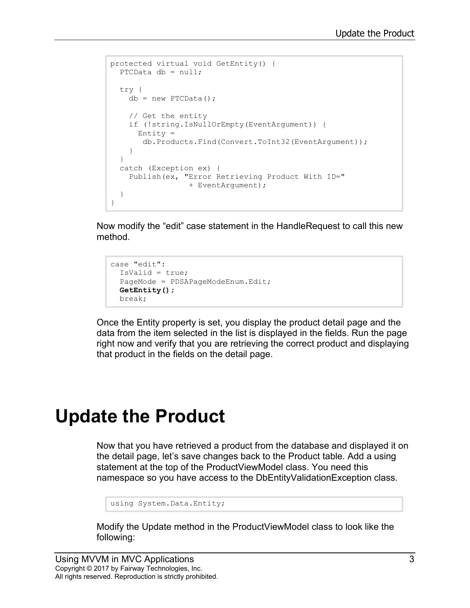```
protected virtual void GetEntity() {
 PTCData db = null;
  try {
   db = new PTCData();
     // Get the entity
     if (!string.IsNullOrEmpty(EventArgument)) {
       Entity = 
        db.Products.Find(Convert.ToInt32(EventArgument));
     }
   }
   catch (Exception ex) {
     Publish(ex, "Error Retrieving Product With ID=" 
                 + EventArgument);
   }
}
```
Now modify the "edit" case statement in the HandleRequest to call this new method.

```
case "edit":
  IsValid = true;
  PageMode = PDSAPageModeEnum.Edit;
  GetEntity();
  break;
```
Once the Entity property is set, you display the product detail page and the data from the item selected in the list is displayed in the fields. Run the page right now and verify that you are retrieving the correct product and displaying that product in the fields on the detail page.

# **Update the Product**

Now that you have retrieved a product from the database and displayed it on the detail page, let's save changes back to the Product table. Add a using statement at the top of the ProductViewModel class. You need this namespace so you have access to the DbEntityValidationException class.

```
using System.Data.Entity;
```
Modify the Update method in the ProductViewModel class to look like the following: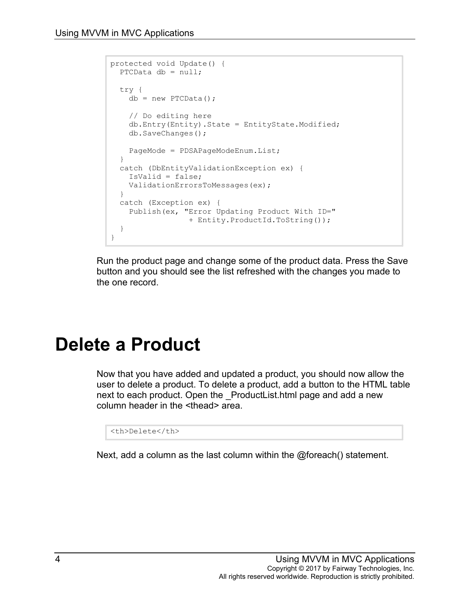```
protected void Update() {
 PTCData db = null; try {
   db = new PTCData();
    // Do editing here
     db.Entry(Entity).State = EntityState.Modified;
     db.SaveChanges();
     PageMode = PDSAPageModeEnum.List;
  }
  catch (DbEntityValidationException ex) {
    IsValid = false;
    ValidationErrorsToMessages(ex);
  }
  catch (Exception ex) {
    Publish(ex, "Error Updating Product With ID=" 
                 + Entity.ProductId.ToString());
   }
}
```
Run the product page and change some of the product data. Press the Save button and you should see the list refreshed with the changes you made to the one record.

#### **Delete a Product**

Now that you have added and updated a product, you should now allow the user to delete a product. To delete a product, add a button to the HTML table next to each product. Open the \_ProductList.html page and add a new column header in the <thead> area.

<th>Delete</th>

Next, add a column as the last column within the @foreach() statement.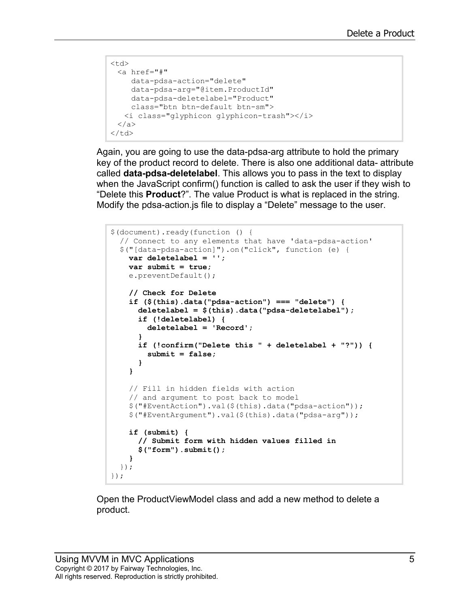```
<td>
 <a href="#" 
    data-pdsa-action="delete"
    data-pdsa-arg="@item.ProductId"
    data-pdsa-deletelabel="Product"
    class="btn btn-default btn-sm">
  <i class="glyphicon glyphicon-trash"></i>
 </a>
\langle t \rangle
```
Again, you are going to use the data-pdsa-arg attribute to hold the primary key of the product record to delete. There is also one additional data- attribute called **data-pdsa-deletelabel**. This allows you to pass in the text to display when the JavaScript confirm() function is called to ask the user if they wish to "Delete this **Product**?". The value Product is what is replaced in the string. Modify the pdsa-action.js file to display a "Delete" message to the user.

```
$(document).ready(function () {
  // Connect to any elements that have 'data-pdsa-action'
  $("[data-pdsa-action]").on("click", function (e) {
    var deletelabel = '';
    var submit = true;
    e.preventDefault();
     // Check for Delete
     if ($(this).data("pdsa-action") === "delete") {
       deletelabel = $(this).data("pdsa-deletelabel");
       if (!deletelabel) {
         deletelabel = 'Record';
 }
       if (!confirm("Delete this " + deletelabel + "?")) {
         submit = false;
       }
     }
     // Fill in hidden fields with action 
     // and argument to post back to model
     $("#EventAction").val($(this).data("pdsa-action"));
     $("#EventArgument").val($(this).data("pdsa-arg"));
     if (submit) {
       // Submit form with hidden values filled in
       $("form").submit();
     }
  });
});
```
Open the ProductViewModel class and add a new method to delete a product.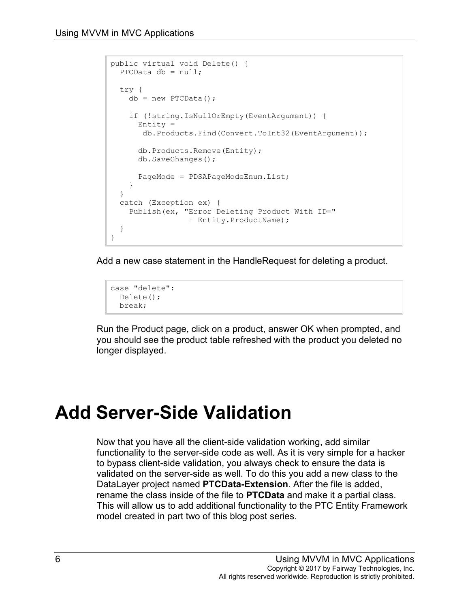```
public virtual void Delete() {
 PTCData db = null; try {
    db = new PTCData();
     if (!string.IsNullOrEmpty(EventArgument)) {
      Entity = db.Products.Find(Convert.ToInt32(EventArgument));
       db.Products.Remove(Entity);
       db.SaveChanges();
       PageMode = PDSAPageModeEnum.List;
     }
   }
  catch (Exception ex) {
     Publish(ex, "Error Deleting Product With ID=" 
                 + Entity.ProductName);
   }
}
```
Add a new case statement in the HandleRequest for deleting a product.

```
case "delete":
 Delete();
  break;
```
Run the Product page, click on a product, answer OK when prompted, and you should see the product table refreshed with the product you deleted no longer displayed.

# **Add Server-Side Validation**

Now that you have all the client-side validation working, add similar functionality to the server-side code as well. As it is very simple for a hacker to bypass client-side validation, you always check to ensure the data is validated on the server-side as well. To do this you add a new class to the DataLayer project named **PTCData-Extension**. After the file is added, rename the class inside of the file to **PTCData** and make it a partial class. This will allow us to add additional functionality to the PTC Entity Framework model created in part two of this blog post series.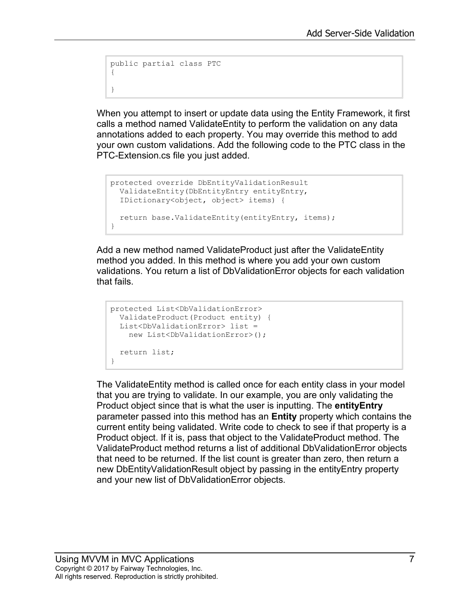```
public partial class PTC
{
}
```
When you attempt to insert or update data using the Entity Framework, it first calls a method named ValidateEntity to perform the validation on any data annotations added to each property. You may override this method to add your own custom validations. Add the following code to the PTC class in the PTC-Extension.cs file you just added.

```
protected override DbEntityValidationResult
  ValidateEntity(DbEntityEntry entityEntry,
   IDictionary<object, object> items) {
  return base.ValidateEntity(entityEntry, items);
}
```
Add a new method named ValidateProduct just after the ValidateEntity method you added. In this method is where you add your own custom validations. You return a list of DbValidationError objects for each validation that fails.

```
protected List<DbValidationError>
  ValidateProduct(Product entity) {
  List<DbValidationError> list = 
    new List<DbValidationError>();
  return list;
}
```
The ValidateEntity method is called once for each entity class in your model that you are trying to validate. In our example, you are only validating the Product object since that is what the user is inputting. The **entityEntry** parameter passed into this method has an **Entity** property which contains the current entity being validated. Write code to check to see if that property is a Product object. If it is, pass that object to the ValidateProduct method. The ValidateProduct method returns a list of additional DbValidationError objects that need to be returned. If the list count is greater than zero, then return a new DbEntityValidationResult object by passing in the entityEntry property and your new list of DbValidationError objects.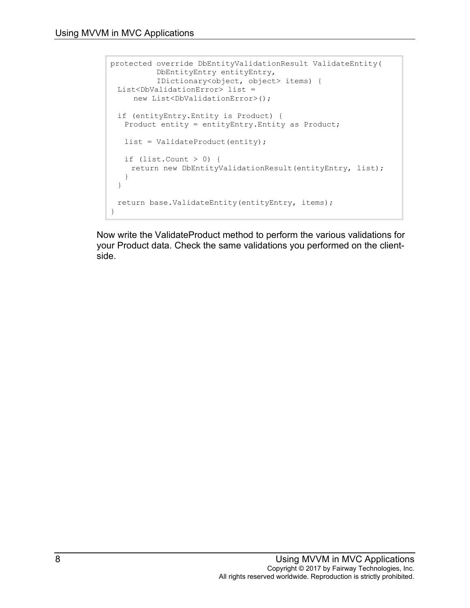```
protected override DbEntityValidationResult ValidateEntity(
          DbEntityEntry entityEntry, 
           IDictionary<object, object> items) {
 List<DbValidationError> list = 
    new List<DbValidationError>();
 if (entityEntry.Entity is Product) {
  Product entity = entityEntry.Entity as Product;
  list = ValidateProduct(entity);
  if (list.Count > 0) {
    return new DbEntityValidationResult(entityEntry, list);
  }
 }
 return base.ValidateEntity(entityEntry, items);
}
```
Now write the ValidateProduct method to perform the various validations for your Product data. Check the same validations you performed on the clientside.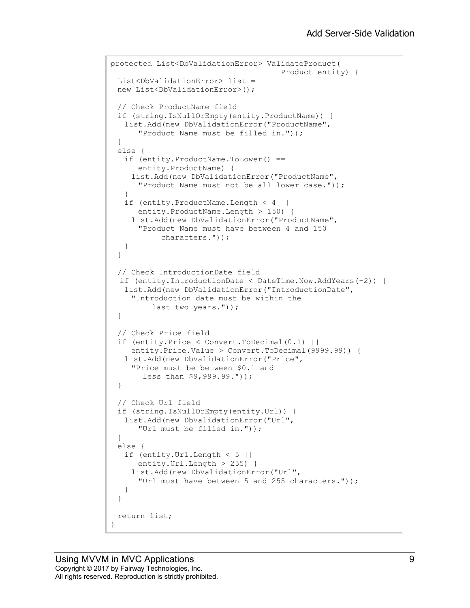```
protected List<DbValidationError> ValidateProduct(
                                      Product entity) {
 List<DbValidationError> list =
 new List<DbValidationError>();
 // Check ProductName field
 if (string.IsNullOrEmpty(entity.ProductName)) {
   list.Add(new DbValidationError("ProductName",
      "Product Name must be filled in."));
 }
 else {
   if (entity.ProductName.ToLower() ==
      entity.ProductName) {
    list.Add(new DbValidationError("ProductName",
      "Product Name must not be all lower case."));
   }
   if (entity.ProductName.Length < 4 ||
      entity.ProductName.Length > 150) {
    list.Add(new DbValidationError("ProductName",
      "Product Name must have between 4 and 150
            characters."));
   }
 }
 // Check IntroductionDate field
  if (entity.IntroductionDate < DateTime.Now.AddYears(-2)) {
  list.Add(new DbValidationError("IntroductionDate",
    "Introduction date must be within the 
         last two years."));
 }
 // Check Price field
 if (entity.Price < Convert.ToDecimal(0.1) ||
    entity.Price.Value > Convert.ToDecimal(9999.99)) {
   list.Add(new DbValidationError("Price",
    "Price must be between $0.1 and 
        less than $9,999.99."));
 }
 // Check Url field
 if (string.IsNullOrEmpty(entity.Url)) {
  list.Add(new DbValidationError("Url",
      "Url must be filled in."));
 }
 else {
  if (entity.Url.Length < 5 ||
      entity.Url.Length > 255) {
    list.Add(new DbValidationError("Url",
      "Url must have between 5 and 255 characters."));
   }
 }
 return list;
}
```